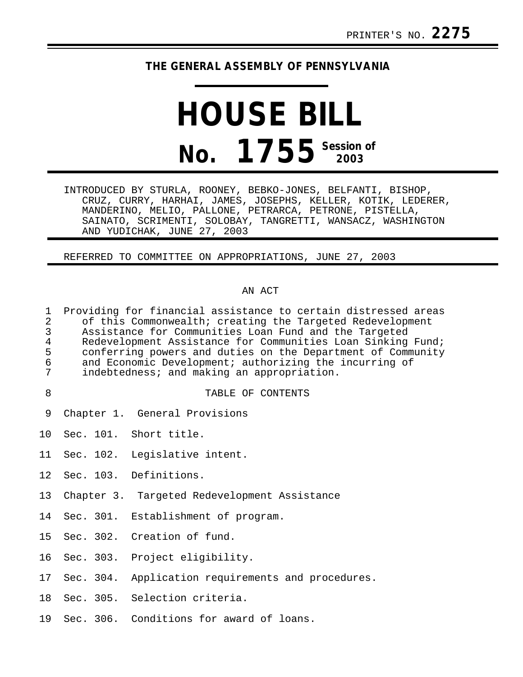## **THE GENERAL ASSEMBLY OF PENNSYLVANIA**

# **HOUSE BILL No. 1755 Session of 2003**

INTRODUCED BY STURLA, ROONEY, BEBKO-JONES, BELFANTI, BISHOP, CRUZ, CURRY, HARHAI, JAMES, JOSEPHS, KELLER, KOTIK, LEDERER, MANDERINO, MELIO, PALLONE, PETRARCA, PETRONE, PISTELLA, SAINATO, SCRIMENTI, SOLOBAY, TANGRETTI, WANSACZ, WASHINGTON AND YUDICHAK, JUNE 27, 2003

REFERRED TO COMMITTEE ON APPROPRIATIONS, JUNE 27, 2003

## AN ACT

| $\mathbf{1}$<br>$\overline{2}$<br>$\mathfrak{Z}$<br>$\bf 4$<br>5<br>$\epsilon$<br>7 | Providing for financial assistance to certain distressed areas<br>of this Commonwealth; creating the Targeted Redevelopment<br>Assistance for Communities Loan Fund and the Targeted<br>Redevelopment Assistance for Communities Loan Sinking Fund;<br>conferring powers and duties on the Department of Community<br>and Economic Development; authorizing the incurring of<br>indebtedness; and making an appropriation. |
|-------------------------------------------------------------------------------------|----------------------------------------------------------------------------------------------------------------------------------------------------------------------------------------------------------------------------------------------------------------------------------------------------------------------------------------------------------------------------------------------------------------------------|
| 8                                                                                   | TABLE OF CONTENTS                                                                                                                                                                                                                                                                                                                                                                                                          |
| 9                                                                                   | Chapter 1. General Provisions                                                                                                                                                                                                                                                                                                                                                                                              |
|                                                                                     | 10 Sec. 101. Short title.                                                                                                                                                                                                                                                                                                                                                                                                  |
|                                                                                     | 11 Sec. 102. Legislative intent.                                                                                                                                                                                                                                                                                                                                                                                           |
|                                                                                     | 12 Sec. 103. Definitions.                                                                                                                                                                                                                                                                                                                                                                                                  |
| 13                                                                                  | Chapter 3. Targeted Redevelopment Assistance                                                                                                                                                                                                                                                                                                                                                                               |
| 14                                                                                  | Sec. 301. Establishment of program.                                                                                                                                                                                                                                                                                                                                                                                        |
|                                                                                     | 15 Sec. 302. Creation of fund.                                                                                                                                                                                                                                                                                                                                                                                             |

- 16 Sec. 303. Project eligibility.
- 17 Sec. 304. Application requirements and procedures.
- 18 Sec. 305. Selection criteria.
- 19 Sec. 306. Conditions for award of loans.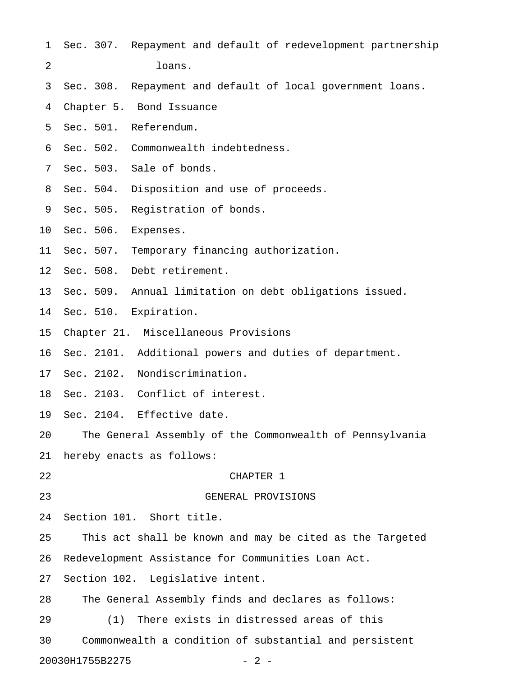- 1 Sec. 307. Repayment and default of redevelopment partnership 2 loans.
- 3 Sec. 308. Repayment and default of local government loans.
- 4 Chapter 5. Bond Issuance
- 5 Sec. 501. Referendum.
- 6 Sec. 502. Commonwealth indebtedness.
- 7 Sec. 503. Sale of bonds.
- 8 Sec. 504. Disposition and use of proceeds.
- 9 Sec. 505. Registration of bonds.
- 10 Sec. 506. Expenses.
- 11 Sec. 507. Temporary financing authorization.
- 12 Sec. 508. Debt retirement.
- 13 Sec. 509. Annual limitation on debt obligations issued.
- 14 Sec. 510. Expiration.
- 15 Chapter 21. Miscellaneous Provisions
- 16 Sec. 2101. Additional powers and duties of department.
- 17 Sec. 2102. Nondiscrimination.
- 18 Sec. 2103. Conflict of interest.
- 19 Sec. 2104. Effective date.
- 20 The General Assembly of the Commonwealth of Pennsylvania
- 21 hereby enacts as follows:
- 22 CHAPTER 1
- 

- 23 GENERAL PROVISIONS
- 24 Section 101. Short title.
- 25 This act shall be known and may be cited as the Targeted
- 26 Redevelopment Assistance for Communities Loan Act.
- 27 Section 102. Legislative intent.
- 28 The General Assembly finds and declares as follows:
- 29 (1) There exists in distressed areas of this
- 30 Commonwealth a condition of substantial and persistent
- 20030H1755B2275 2 -
	-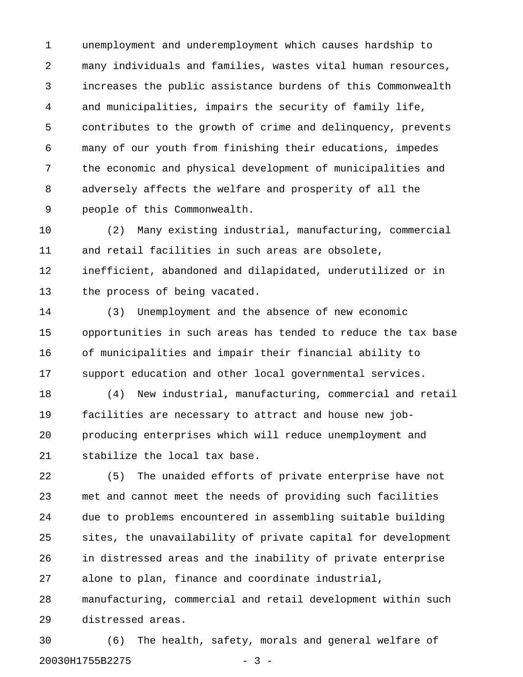1 unemployment and underemployment which causes hardship to 2 many individuals and families, wastes vital human resources, 3 increases the public assistance burdens of this Commonwealth 4 and municipalities, impairs the security of family life, 5 contributes to the growth of crime and delinquency, prevents 6 many of our youth from finishing their educations, impedes 7 the economic and physical development of municipalities and 8 adversely affects the welfare and prosperity of all the 9 people of this Commonwealth.

10 (2) Many existing industrial, manufacturing, commercial 11 and retail facilities in such areas are obsolete, 12 inefficient, abandoned and dilapidated, underutilized or in 13 the process of being vacated.

14 (3) Unemployment and the absence of new economic 15 opportunities in such areas has tended to reduce the tax base 16 of municipalities and impair their financial ability to 17 support education and other local governmental services.

18 (4) New industrial, manufacturing, commercial and retail 19 facilities are necessary to attract and house new job-20 producing enterprises which will reduce unemployment and 21 stabilize the local tax base.

22 (5) The unaided efforts of private enterprise have not 23 met and cannot meet the needs of providing such facilities 24 due to problems encountered in assembling suitable building 25 sites, the unavailability of private capital for development 26 in distressed areas and the inability of private enterprise 27 alone to plan, finance and coordinate industrial, 28 manufacturing, commercial and retail development within such 29 distressed areas.

30 (6) The health, safety, morals and general welfare of 20030H1755B2275 - 3 -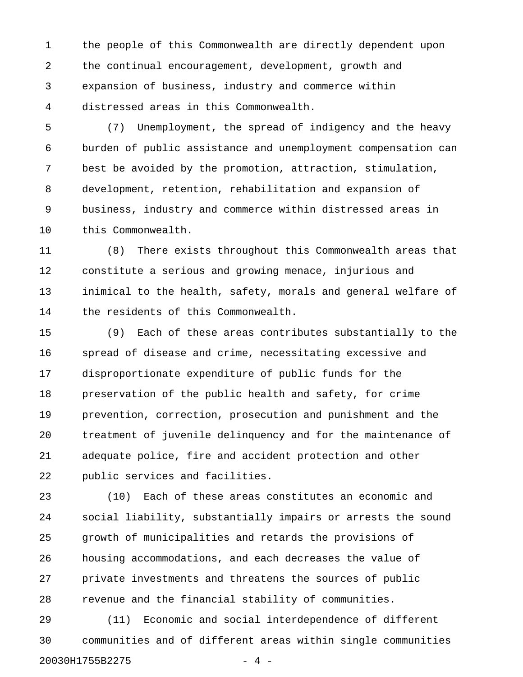1 the people of this Commonwealth are directly dependent upon 2 the continual encouragement, development, growth and 3 expansion of business, industry and commerce within 4 distressed areas in this Commonwealth.

5 (7) Unemployment, the spread of indigency and the heavy 6 burden of public assistance and unemployment compensation can 7 best be avoided by the promotion, attraction, stimulation, 8 development, retention, rehabilitation and expansion of 9 business, industry and commerce within distressed areas in 10 this Commonwealth.

11 (8) There exists throughout this Commonwealth areas that 12 constitute a serious and growing menace, injurious and 13 inimical to the health, safety, morals and general welfare of 14 the residents of this Commonwealth.

15 (9) Each of these areas contributes substantially to the 16 spread of disease and crime, necessitating excessive and 17 disproportionate expenditure of public funds for the 18 preservation of the public health and safety, for crime 19 prevention, correction, prosecution and punishment and the 20 treatment of juvenile delinquency and for the maintenance of 21 adequate police, fire and accident protection and other 22 public services and facilities.

23 (10) Each of these areas constitutes an economic and 24 social liability, substantially impairs or arrests the sound 25 growth of municipalities and retards the provisions of 26 housing accommodations, and each decreases the value of 27 private investments and threatens the sources of public 28 revenue and the financial stability of communities.

29 (11) Economic and social interdependence of different 30 communities and of different areas within single communities 20030H1755B2275 - 4 -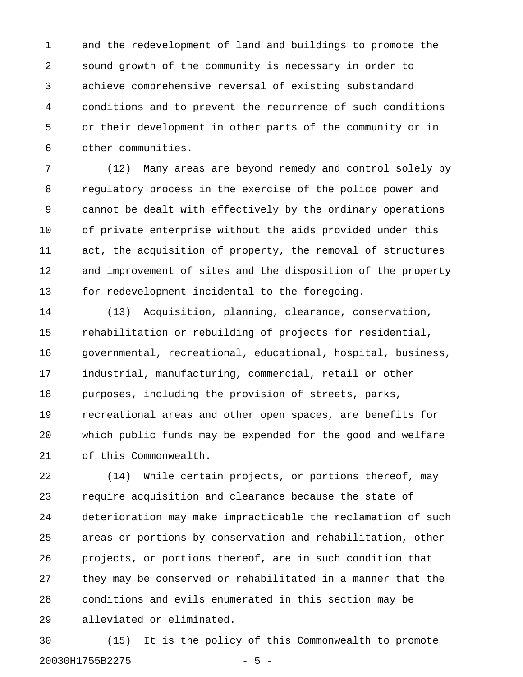1 and the redevelopment of land and buildings to promote the 2 sound growth of the community is necessary in order to 3 achieve comprehensive reversal of existing substandard 4 conditions and to prevent the recurrence of such conditions 5 or their development in other parts of the community or in 6 other communities.

7 (12) Many areas are beyond remedy and control solely by 8 regulatory process in the exercise of the police power and 9 cannot be dealt with effectively by the ordinary operations 10 of private enterprise without the aids provided under this 11 act, the acquisition of property, the removal of structures 12 and improvement of sites and the disposition of the property 13 for redevelopment incidental to the foregoing.

14 (13) Acquisition, planning, clearance, conservation, 15 rehabilitation or rebuilding of projects for residential, 16 governmental, recreational, educational, hospital, business, 17 industrial, manufacturing, commercial, retail or other 18 purposes, including the provision of streets, parks, 19 recreational areas and other open spaces, are benefits for 20 which public funds may be expended for the good and welfare 21 of this Commonwealth.

22 (14) While certain projects, or portions thereof, may 23 require acquisition and clearance because the state of 24 deterioration may make impracticable the reclamation of such 25 areas or portions by conservation and rehabilitation, other 26 projects, or portions thereof, are in such condition that 27 they may be conserved or rehabilitated in a manner that the 28 conditions and evils enumerated in this section may be 29 alleviated or eliminated.

30 (15) It is the policy of this Commonwealth to promote 20030H1755B2275 - 5 -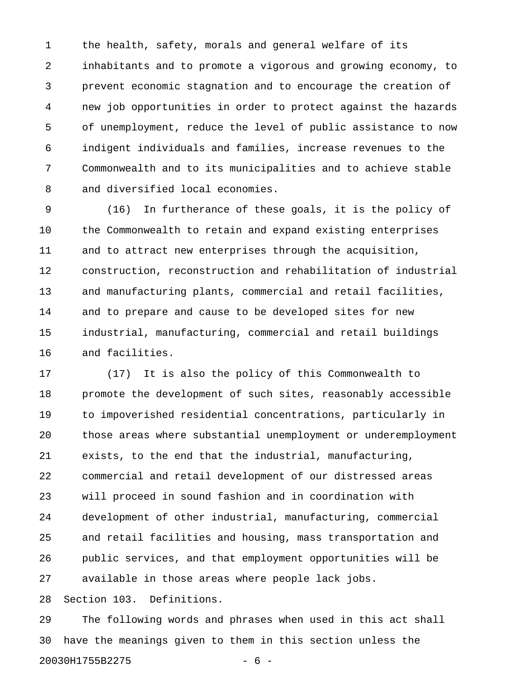1 the health, safety, morals and general welfare of its 2 inhabitants and to promote a vigorous and growing economy, to 3 prevent economic stagnation and to encourage the creation of 4 new job opportunities in order to protect against the hazards 5 of unemployment, reduce the level of public assistance to now 6 indigent individuals and families, increase revenues to the 7 Commonwealth and to its municipalities and to achieve stable 8 and diversified local economies.

9 (16) In furtherance of these goals, it is the policy of 10 the Commonwealth to retain and expand existing enterprises 11 and to attract new enterprises through the acquisition, 12 construction, reconstruction and rehabilitation of industrial 13 and manufacturing plants, commercial and retail facilities, 14 and to prepare and cause to be developed sites for new 15 industrial, manufacturing, commercial and retail buildings 16 and facilities.

17 (17) It is also the policy of this Commonwealth to 18 promote the development of such sites, reasonably accessible 19 to impoverished residential concentrations, particularly in 20 those areas where substantial unemployment or underemployment 21 exists, to the end that the industrial, manufacturing, 22 commercial and retail development of our distressed areas 23 will proceed in sound fashion and in coordination with 24 development of other industrial, manufacturing, commercial 25 and retail facilities and housing, mass transportation and 26 public services, and that employment opportunities will be 27 available in those areas where people lack jobs. 28 Section 103. Definitions.

29 The following words and phrases when used in this act shall 30 have the meanings given to them in this section unless the 20030H1755B2275 - 6 -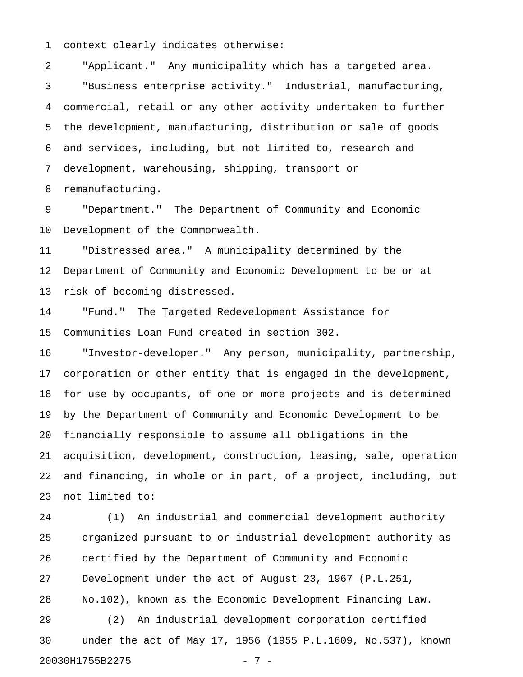1 context clearly indicates otherwise:

2 "Applicant." Any municipality which has a targeted area. 3 "Business enterprise activity." Industrial, manufacturing, 4 commercial, retail or any other activity undertaken to further 5 the development, manufacturing, distribution or sale of goods 6 and services, including, but not limited to, research and 7 development, warehousing, shipping, transport or

8 remanufacturing.

9 "Department." The Department of Community and Economic 10 Development of the Commonwealth.

11 "Distressed area." A municipality determined by the 12 Department of Community and Economic Development to be or at 13 risk of becoming distressed.

14 "Fund." The Targeted Redevelopment Assistance for 15 Communities Loan Fund created in section 302.

16 "Investor-developer." Any person, municipality, partnership, 17 corporation or other entity that is engaged in the development, 18 for use by occupants, of one or more projects and is determined 19 by the Department of Community and Economic Development to be 20 financially responsible to assume all obligations in the 21 acquisition, development, construction, leasing, sale, operation 22 and financing, in whole or in part, of a project, including, but 23 not limited to:

24 (1) An industrial and commercial development authority 25 organized pursuant to or industrial development authority as 26 certified by the Department of Community and Economic 27 Development under the act of August 23, 1967 (P.L.251, 28 No.102), known as the Economic Development Financing Law. 29 (2) An industrial development corporation certified 30 under the act of May 17, 1956 (1955 P.L.1609, No.537), known 20030H1755B2275 - 7 -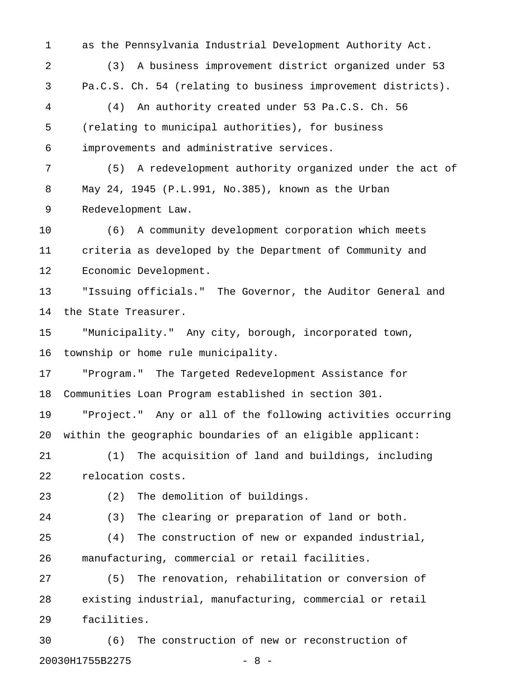1 as the Pennsylvania Industrial Development Authority Act. 2 (3) A business improvement district organized under 53 3 Pa.C.S. Ch. 54 (relating to business improvement districts). 4 (4) An authority created under 53 Pa.C.S. Ch. 56 5 (relating to municipal authorities), for business 6 improvements and administrative services. 7 (5) A redevelopment authority organized under the act of 8 May 24, 1945 (P.L.991, No.385), known as the Urban 9 Redevelopment Law. 10 (6) A community development corporation which meets 11 criteria as developed by the Department of Community and 12 Economic Development. 13 "Issuing officials." The Governor, the Auditor General and 14 the State Treasurer. 15 "Municipality." Any city, borough, incorporated town, 16 township or home rule municipality. 17 "Program." The Targeted Redevelopment Assistance for 18 Communities Loan Program established in section 301. 19 "Project." Any or all of the following activities occurring 20 within the geographic boundaries of an eligible applicant: 21 (1) The acquisition of land and buildings, including 22 relocation costs. 23 (2) The demolition of buildings. 24 (3) The clearing or preparation of land or both. 25 (4) The construction of new or expanded industrial, 26 manufacturing, commercial or retail facilities. 27 (5) The renovation, rehabilitation or conversion of 28 existing industrial, manufacturing, commercial or retail 29 facilities.

30 (6) The construction of new or reconstruction of 20030H1755B2275 - 8 -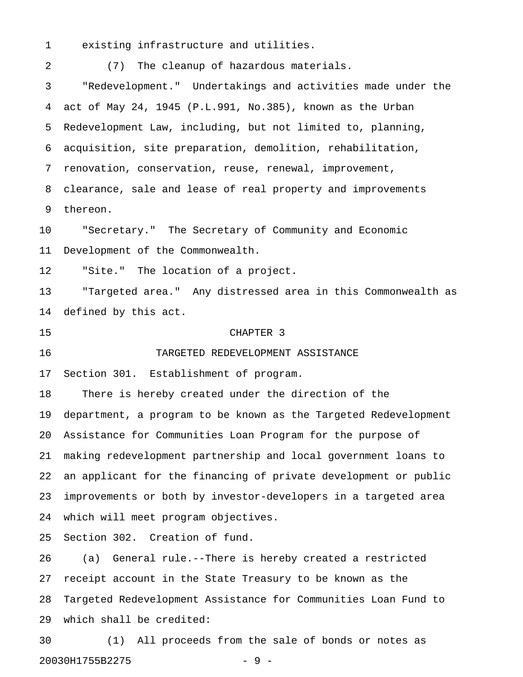1 existing infrastructure and utilities.

2 (7) The cleanup of hazardous materials. 3 "Redevelopment." Undertakings and activities made under the 4 act of May 24, 1945 (P.L.991, No.385), known as the Urban 5 Redevelopment Law, including, but not limited to, planning, 6 acquisition, site preparation, demolition, rehabilitation, 7 renovation, conservation, reuse, renewal, improvement, 8 clearance, sale and lease of real property and improvements 9 thereon. 10 "Secretary." The Secretary of Community and Economic 11 Development of the Commonwealth. 12 "Site." The location of a project. 13 "Targeted area." Any distressed area in this Commonwealth as 14 defined by this act. 15 CHAPTER 3 16 TARGETED REDEVELOPMENT ASSISTANCE 17 Section 301. Establishment of program. 18 There is hereby created under the direction of the 19 department, a program to be known as the Targeted Redevelopment 20 Assistance for Communities Loan Program for the purpose of 21 making redevelopment partnership and local government loans to 22 an applicant for the financing of private development or public 23 improvements or both by investor-developers in a targeted area 24 which will meet program objectives. 25 Section 302. Creation of fund. 26 (a) General rule.--There is hereby created a restricted 27 receipt account in the State Treasury to be known as the 28 Targeted Redevelopment Assistance for Communities Loan Fund to 29 which shall be credited:

30 (1) All proceeds from the sale of bonds or notes as 20030H1755B2275 - 9 -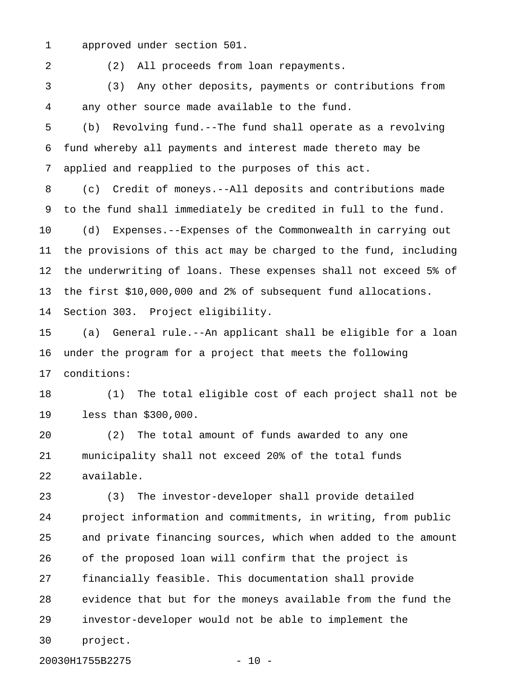1 approved under section 501.

2 (2) All proceeds from loan repayments.

3 (3) Any other deposits, payments or contributions from 4 any other source made available to the fund.

5 (b) Revolving fund.--The fund shall operate as a revolving 6 fund whereby all payments and interest made thereto may be 7 applied and reapplied to the purposes of this act.

8 (c) Credit of moneys.--All deposits and contributions made 9 to the fund shall immediately be credited in full to the fund. 10 (d) Expenses.--Expenses of the Commonwealth in carrying out 11 the provisions of this act may be charged to the fund, including 12 the underwriting of loans. These expenses shall not exceed 5% of 13 the first \$10,000,000 and 2% of subsequent fund allocations.

14 Section 303. Project eligibility.

15 (a) General rule.--An applicant shall be eligible for a loan 16 under the program for a project that meets the following 17 conditions:

18 (1) The total eligible cost of each project shall not be 19 less than \$300,000.

20 (2) The total amount of funds awarded to any one 21 municipality shall not exceed 20% of the total funds 22 available.

23 (3) The investor-developer shall provide detailed 24 project information and commitments, in writing, from public 25 and private financing sources, which when added to the amount 26 of the proposed loan will confirm that the project is 27 financially feasible. This documentation shall provide 28 evidence that but for the moneys available from the fund the 29 investor-developer would not be able to implement the 30 project.

20030H1755B2275 - 10 -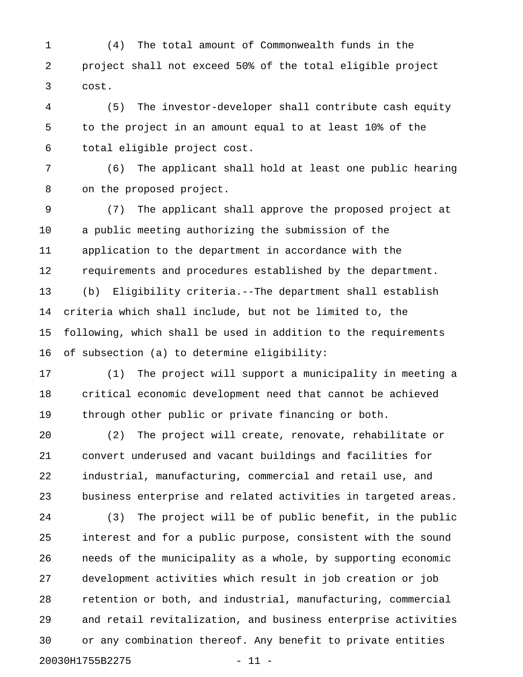1 (4) The total amount of Commonwealth funds in the 2 project shall not exceed 50% of the total eligible project 3 cost.

4 (5) The investor-developer shall contribute cash equity 5 to the project in an amount equal to at least 10% of the 6 total eligible project cost.

7 (6) The applicant shall hold at least one public hearing 8 on the proposed project.

9 (7) The applicant shall approve the proposed project at 10 a public meeting authorizing the submission of the 11 application to the department in accordance with the 12 requirements and procedures established by the department. 13 (b) Eligibility criteria.--The department shall establish 14 criteria which shall include, but not be limited to, the 15 following, which shall be used in addition to the requirements 16 of subsection (a) to determine eligibility:

17 (1) The project will support a municipality in meeting a 18 critical economic development need that cannot be achieved 19 through other public or private financing or both.

20 (2) The project will create, renovate, rehabilitate or 21 convert underused and vacant buildings and facilities for 22 industrial, manufacturing, commercial and retail use, and 23 business enterprise and related activities in targeted areas.

24 (3) The project will be of public benefit, in the public 25 interest and for a public purpose, consistent with the sound 26 needs of the municipality as a whole, by supporting economic 27 development activities which result in job creation or job 28 retention or both, and industrial, manufacturing, commercial 29 and retail revitalization, and business enterprise activities 30 or any combination thereof. Any benefit to private entities 20030H1755B2275 - 11 -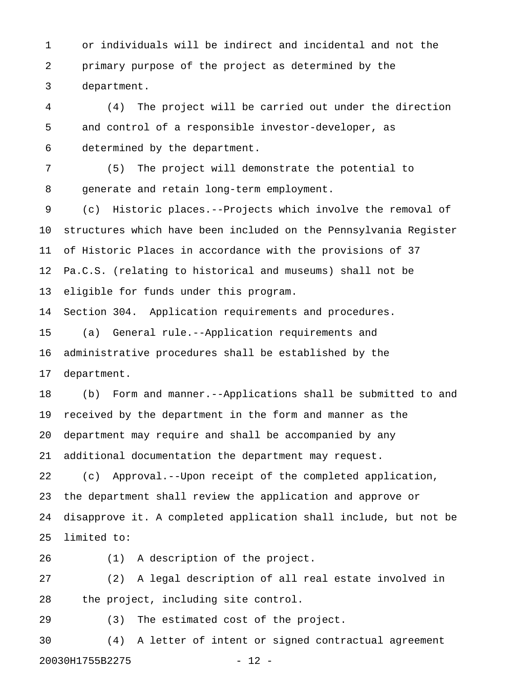1 or individuals will be indirect and incidental and not the 2 primary purpose of the project as determined by the 3 department.

4 (4) The project will be carried out under the direction 5 and control of a responsible investor-developer, as 6 determined by the department.

7 (5) The project will demonstrate the potential to 8 generate and retain long-term employment.

9 (c) Historic places.--Projects which involve the removal of 10 structures which have been included on the Pennsylvania Register 11 of Historic Places in accordance with the provisions of 37 12 Pa.C.S. (relating to historical and museums) shall not be 13 eligible for funds under this program.

14 Section 304. Application requirements and procedures.

15 (a) General rule.--Application requirements and 16 administrative procedures shall be established by the 17 department.

18 (b) Form and manner.--Applications shall be submitted to and 19 received by the department in the form and manner as the 20 department may require and shall be accompanied by any 21 additional documentation the department may request.

22 (c) Approval.--Upon receipt of the completed application, 23 the department shall review the application and approve or 24 disapprove it. A completed application shall include, but not be 25 limited to:

26 (1) A description of the project.

27 (2) A legal description of all real estate involved in 28 the project, including site control.

29 (3) The estimated cost of the project.

30 (4) A letter of intent or signed contractual agreement 20030H1755B2275 - 12 -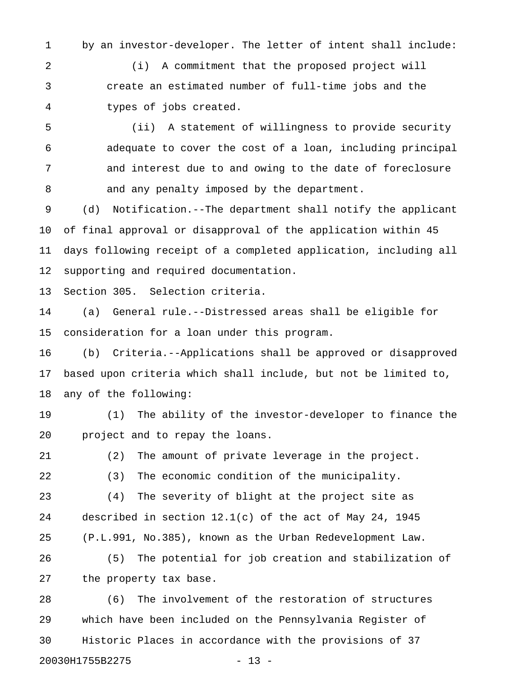1 by an investor-developer. The letter of intent shall include:

2 (i) A commitment that the proposed project will 3 create an estimated number of full-time jobs and the 4 types of jobs created.

5 (ii) A statement of willingness to provide security 6 adequate to cover the cost of a loan, including principal 7 and interest due to and owing to the date of foreclosure 8 and any penalty imposed by the department.

9 (d) Notification.--The department shall notify the applicant 10 of final approval or disapproval of the application within 45 11 days following receipt of a completed application, including all 12 supporting and required documentation.

13 Section 305. Selection criteria.

14 (a) General rule.--Distressed areas shall be eligible for 15 consideration for a loan under this program.

16 (b) Criteria.--Applications shall be approved or disapproved 17 based upon criteria which shall include, but not be limited to, 18 any of the following:

19 (1) The ability of the investor-developer to finance the 20 project and to repay the loans.

21 (2) The amount of private leverage in the project. 22 (3) The economic condition of the municipality. 23 (4) The severity of blight at the project site as

24 described in section 12.1(c) of the act of May 24, 1945 25 (P.L.991, No.385), known as the Urban Redevelopment Law.

26 (5) The potential for job creation and stabilization of 27 the property tax base.

28 (6) The involvement of the restoration of structures 29 which have been included on the Pennsylvania Register of 30 Historic Places in accordance with the provisions of 37 20030H1755B2275 - 13 -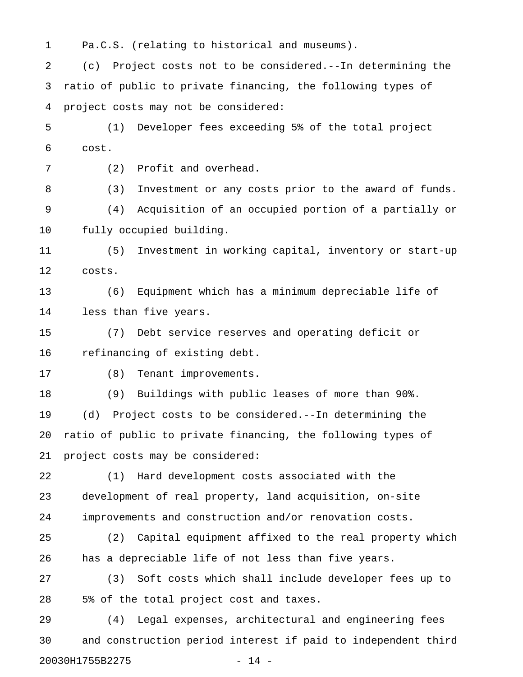1 Pa.C.S. (relating to historical and museums).

2 (c) Project costs not to be considered.--In determining the 3 ratio of public to private financing, the following types of 4 project costs may not be considered:

5 (1) Developer fees exceeding 5% of the total project 6 cost.

7 (2) Profit and overhead.

8 (3) Investment or any costs prior to the award of funds. 9 (4) Acquisition of an occupied portion of a partially or 10 fully occupied building.

11 (5) Investment in working capital, inventory or start-up 12 costs.

13 (6) Equipment which has a minimum depreciable life of 14 less than five years.

15 (7) Debt service reserves and operating deficit or 16 refinancing of existing debt.

17 (8) Tenant improvements.

18 (9) Buildings with public leases of more than 90%. 19 (d) Project costs to be considered.--In determining the 20 ratio of public to private financing, the following types of 21 project costs may be considered:

22 (1) Hard development costs associated with the 23 development of real property, land acquisition, on-site 24 improvements and construction and/or renovation costs.

25 (2) Capital equipment affixed to the real property which 26 has a depreciable life of not less than five years.

27 (3) Soft costs which shall include developer fees up to 28 5% of the total project cost and taxes.

29 (4) Legal expenses, architectural and engineering fees 30 and construction period interest if paid to independent third 20030H1755B2275 - 14 -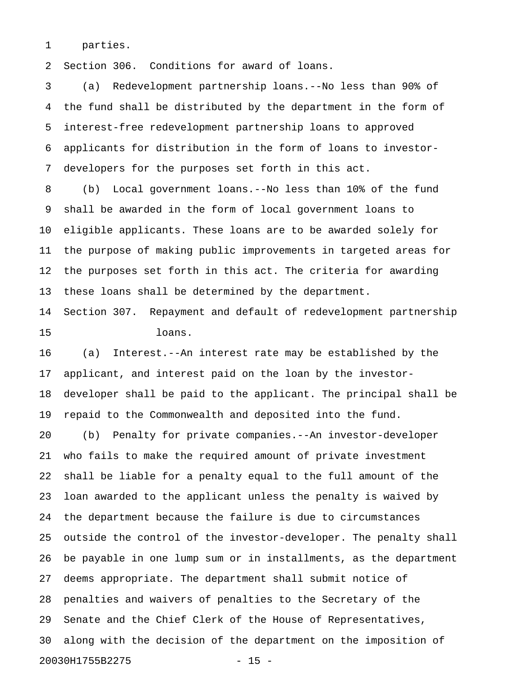1 parties.

2 Section 306. Conditions for award of loans.

3 (a) Redevelopment partnership loans.--No less than 90% of 4 the fund shall be distributed by the department in the form of 5 interest-free redevelopment partnership loans to approved 6 applicants for distribution in the form of loans to investor-7 developers for the purposes set forth in this act.

8 (b) Local government loans.--No less than 10% of the fund 9 shall be awarded in the form of local government loans to 10 eligible applicants. These loans are to be awarded solely for 11 the purpose of making public improvements in targeted areas for 12 the purposes set forth in this act. The criteria for awarding 13 these loans shall be determined by the department.

14 Section 307. Repayment and default of redevelopment partnership 15 loans.

16 (a) Interest.--An interest rate may be established by the 17 applicant, and interest paid on the loan by the investor-18 developer shall be paid to the applicant. The principal shall be 19 repaid to the Commonwealth and deposited into the fund. 20 (b) Penalty for private companies.--An investor-developer

21 who fails to make the required amount of private investment 22 shall be liable for a penalty equal to the full amount of the 23 loan awarded to the applicant unless the penalty is waived by 24 the department because the failure is due to circumstances 25 outside the control of the investor-developer. The penalty shall 26 be payable in one lump sum or in installments, as the department 27 deems appropriate. The department shall submit notice of 28 penalties and waivers of penalties to the Secretary of the 29 Senate and the Chief Clerk of the House of Representatives, 30 along with the decision of the department on the imposition of 20030H1755B2275 - 15 -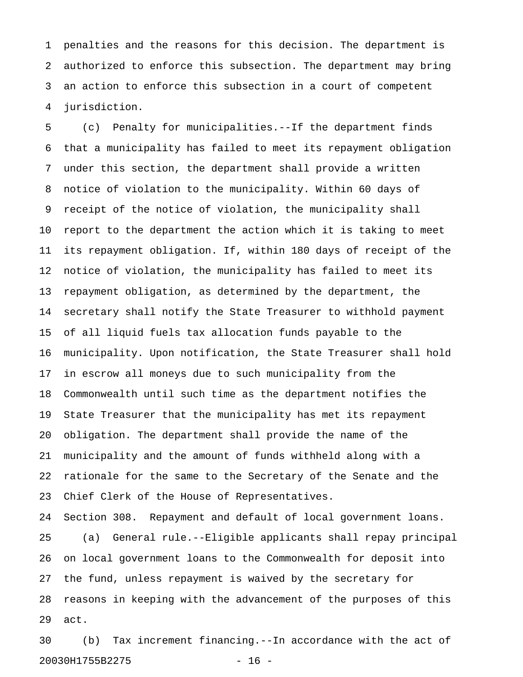1 penalties and the reasons for this decision. The department is 2 authorized to enforce this subsection. The department may bring 3 an action to enforce this subsection in a court of competent 4 jurisdiction.

5 (c) Penalty for municipalities.--If the department finds 6 that a municipality has failed to meet its repayment obligation 7 under this section, the department shall provide a written 8 notice of violation to the municipality. Within 60 days of 9 receipt of the notice of violation, the municipality shall 10 report to the department the action which it is taking to meet 11 its repayment obligation. If, within 180 days of receipt of the 12 notice of violation, the municipality has failed to meet its 13 repayment obligation, as determined by the department, the 14 secretary shall notify the State Treasurer to withhold payment 15 of all liquid fuels tax allocation funds payable to the 16 municipality. Upon notification, the State Treasurer shall hold 17 in escrow all moneys due to such municipality from the 18 Commonwealth until such time as the department notifies the 19 State Treasurer that the municipality has met its repayment 20 obligation. The department shall provide the name of the 21 municipality and the amount of funds withheld along with a 22 rationale for the same to the Secretary of the Senate and the 23 Chief Clerk of the House of Representatives.

24 Section 308. Repayment and default of local government loans. 25 (a) General rule.--Eligible applicants shall repay principal 26 on local government loans to the Commonwealth for deposit into 27 the fund, unless repayment is waived by the secretary for 28 reasons in keeping with the advancement of the purposes of this 29 act.

30 (b) Tax increment financing.--In accordance with the act of 20030H1755B2275 - 16 -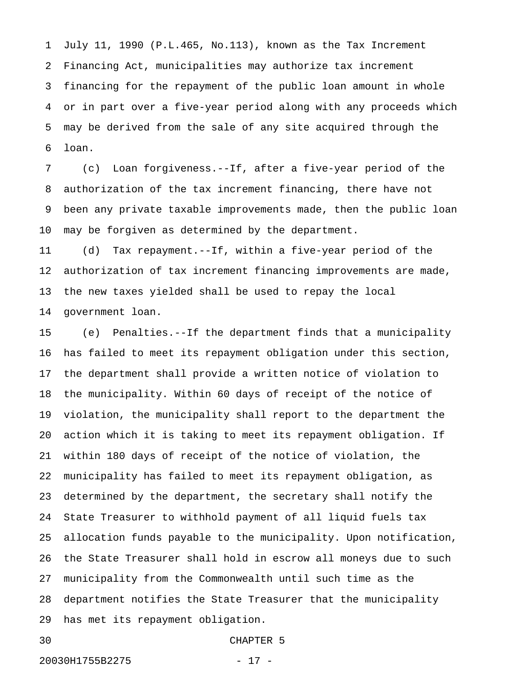1 July 11, 1990 (P.L.465, No.113), known as the Tax Increment 2 Financing Act, municipalities may authorize tax increment 3 financing for the repayment of the public loan amount in whole 4 or in part over a five-year period along with any proceeds which 5 may be derived from the sale of any site acquired through the 6 loan.

7 (c) Loan forgiveness.--If, after a five-year period of the 8 authorization of the tax increment financing, there have not 9 been any private taxable improvements made, then the public loan 10 may be forgiven as determined by the department.

11 (d) Tax repayment.--If, within a five-year period of the 12 authorization of tax increment financing improvements are made, 13 the new taxes yielded shall be used to repay the local 14 government loan.

15 (e) Penalties.--If the department finds that a municipality 16 has failed to meet its repayment obligation under this section, 17 the department shall provide a written notice of violation to 18 the municipality. Within 60 days of receipt of the notice of 19 violation, the municipality shall report to the department the 20 action which it is taking to meet its repayment obligation. If 21 within 180 days of receipt of the notice of violation, the 22 municipality has failed to meet its repayment obligation, as 23 determined by the department, the secretary shall notify the 24 State Treasurer to withhold payment of all liquid fuels tax 25 allocation funds payable to the municipality. Upon notification, 26 the State Treasurer shall hold in escrow all moneys due to such 27 municipality from the Commonwealth until such time as the 28 department notifies the State Treasurer that the municipality 29 has met its repayment obligation.

### 30 CHAPTER 5

20030H1755B2275 - 17 -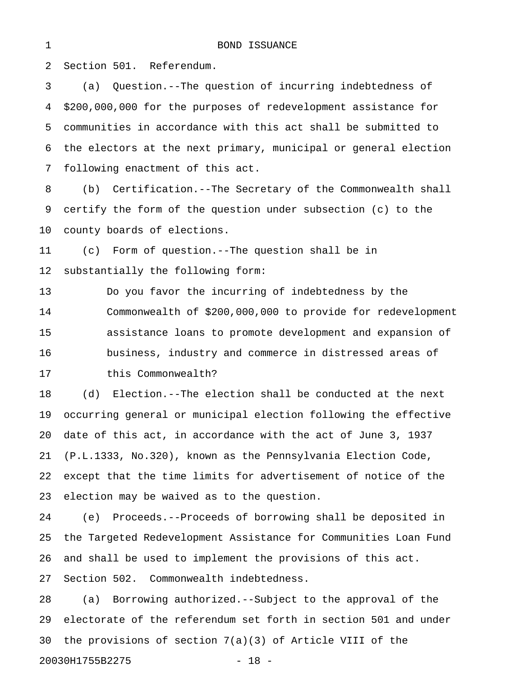2 Section 501. Referendum.

3 (a) Question.--The question of incurring indebtedness of 4 \$200,000,000 for the purposes of redevelopment assistance for 5 communities in accordance with this act shall be submitted to 6 the electors at the next primary, municipal or general election 7 following enactment of this act. 8 (b) Certification.--The Secretary of the Commonwealth shall 9 certify the form of the question under subsection (c) to the 10 county boards of elections. 11 (c) Form of question.--The question shall be in 12 substantially the following form: 13 Do you favor the incurring of indebtedness by the 14 Commonwealth of \$200,000,000 to provide for redevelopment 15 assistance loans to promote development and expansion of 16 business, industry and commerce in distressed areas of 17 this Commonwealth? 18 (d) Election.--The election shall be conducted at the next 19 occurring general or municipal election following the effective 20 date of this act, in accordance with the act of June 3, 1937 21 (P.L.1333, No.320), known as the Pennsylvania Election Code, 22 except that the time limits for advertisement of notice of the 23 election may be waived as to the question. 24 (e) Proceeds.--Proceeds of borrowing shall be deposited in 25 the Targeted Redevelopment Assistance for Communities Loan Fund 26 and shall be used to implement the provisions of this act. 27 Section 502. Commonwealth indebtedness. 28 (a) Borrowing authorized.--Subject to the approval of the

29 electorate of the referendum set forth in section 501 and under 30 the provisions of section 7(a)(3) of Article VIII of the 20030H1755B2275 - 18 -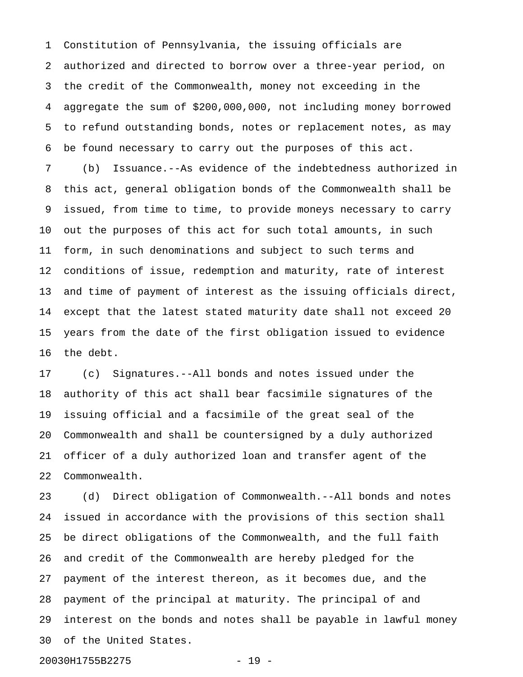1 Constitution of Pennsylvania, the issuing officials are 2 authorized and directed to borrow over a three-year period, on 3 the credit of the Commonwealth, money not exceeding in the 4 aggregate the sum of \$200,000,000, not including money borrowed 5 to refund outstanding bonds, notes or replacement notes, as may 6 be found necessary to carry out the purposes of this act.

7 (b) Issuance.--As evidence of the indebtedness authorized in 8 this act, general obligation bonds of the Commonwealth shall be 9 issued, from time to time, to provide moneys necessary to carry 10 out the purposes of this act for such total amounts, in such 11 form, in such denominations and subject to such terms and 12 conditions of issue, redemption and maturity, rate of interest 13 and time of payment of interest as the issuing officials direct, 14 except that the latest stated maturity date shall not exceed 20 15 years from the date of the first obligation issued to evidence 16 the debt.

17 (c) Signatures.--All bonds and notes issued under the 18 authority of this act shall bear facsimile signatures of the 19 issuing official and a facsimile of the great seal of the 20 Commonwealth and shall be countersigned by a duly authorized 21 officer of a duly authorized loan and transfer agent of the 22 Commonwealth.

23 (d) Direct obligation of Commonwealth.--All bonds and notes 24 issued in accordance with the provisions of this section shall 25 be direct obligations of the Commonwealth, and the full faith 26 and credit of the Commonwealth are hereby pledged for the 27 payment of the interest thereon, as it becomes due, and the 28 payment of the principal at maturity. The principal of and 29 interest on the bonds and notes shall be payable in lawful money 30 of the United States.

20030H1755B2275 - 19 -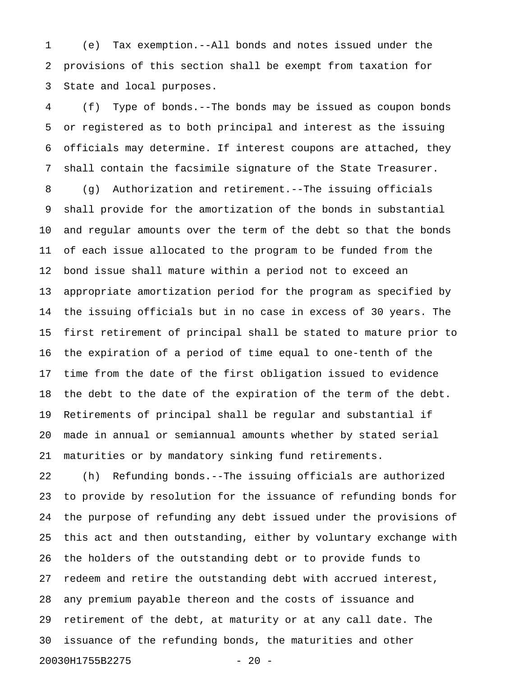1 (e) Tax exemption.--All bonds and notes issued under the 2 provisions of this section shall be exempt from taxation for 3 State and local purposes.

4 (f) Type of bonds.--The bonds may be issued as coupon bonds 5 or registered as to both principal and interest as the issuing 6 officials may determine. If interest coupons are attached, they 7 shall contain the facsimile signature of the State Treasurer. 8 (g) Authorization and retirement.--The issuing officials 9 shall provide for the amortization of the bonds in substantial 10 and regular amounts over the term of the debt so that the bonds 11 of each issue allocated to the program to be funded from the 12 bond issue shall mature within a period not to exceed an 13 appropriate amortization period for the program as specified by 14 the issuing officials but in no case in excess of 30 years. The 15 first retirement of principal shall be stated to mature prior to 16 the expiration of a period of time equal to one-tenth of the 17 time from the date of the first obligation issued to evidence 18 the debt to the date of the expiration of the term of the debt. 19 Retirements of principal shall be regular and substantial if 20 made in annual or semiannual amounts whether by stated serial 21 maturities or by mandatory sinking fund retirements.

22 (h) Refunding bonds.--The issuing officials are authorized 23 to provide by resolution for the issuance of refunding bonds for 24 the purpose of refunding any debt issued under the provisions of 25 this act and then outstanding, either by voluntary exchange with 26 the holders of the outstanding debt or to provide funds to 27 redeem and retire the outstanding debt with accrued interest, 28 any premium payable thereon and the costs of issuance and 29 retirement of the debt, at maturity or at any call date. The 30 issuance of the refunding bonds, the maturities and other 20030H1755B2275 - 20 -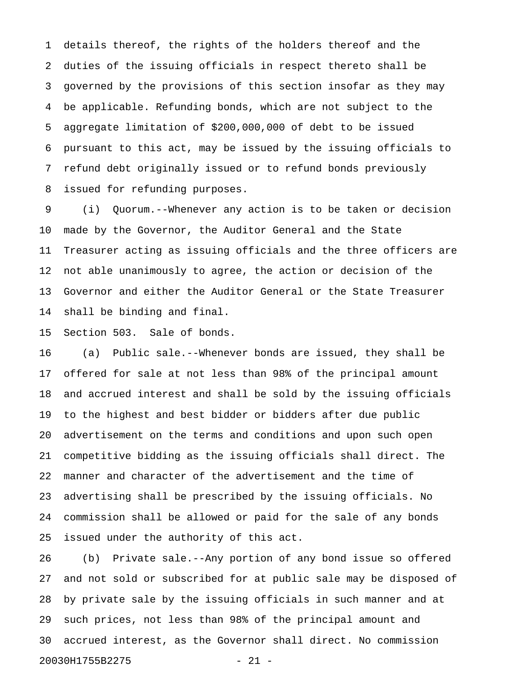1 details thereof, the rights of the holders thereof and the 2 duties of the issuing officials in respect thereto shall be 3 governed by the provisions of this section insofar as they may 4 be applicable. Refunding bonds, which are not subject to the 5 aggregate limitation of \$200,000,000 of debt to be issued 6 pursuant to this act, may be issued by the issuing officials to 7 refund debt originally issued or to refund bonds previously 8 issued for refunding purposes.

9 (i) Quorum.--Whenever any action is to be taken or decision 10 made by the Governor, the Auditor General and the State 11 Treasurer acting as issuing officials and the three officers are 12 not able unanimously to agree, the action or decision of the 13 Governor and either the Auditor General or the State Treasurer 14 shall be binding and final.

15 Section 503. Sale of bonds.

16 (a) Public sale.--Whenever bonds are issued, they shall be 17 offered for sale at not less than 98% of the principal amount 18 and accrued interest and shall be sold by the issuing officials 19 to the highest and best bidder or bidders after due public 20 advertisement on the terms and conditions and upon such open 21 competitive bidding as the issuing officials shall direct. The 22 manner and character of the advertisement and the time of 23 advertising shall be prescribed by the issuing officials. No 24 commission shall be allowed or paid for the sale of any bonds 25 issued under the authority of this act.

26 (b) Private sale.--Any portion of any bond issue so offered 27 and not sold or subscribed for at public sale may be disposed of 28 by private sale by the issuing officials in such manner and at 29 such prices, not less than 98% of the principal amount and 30 accrued interest, as the Governor shall direct. No commission 20030H1755B2275 - 21 -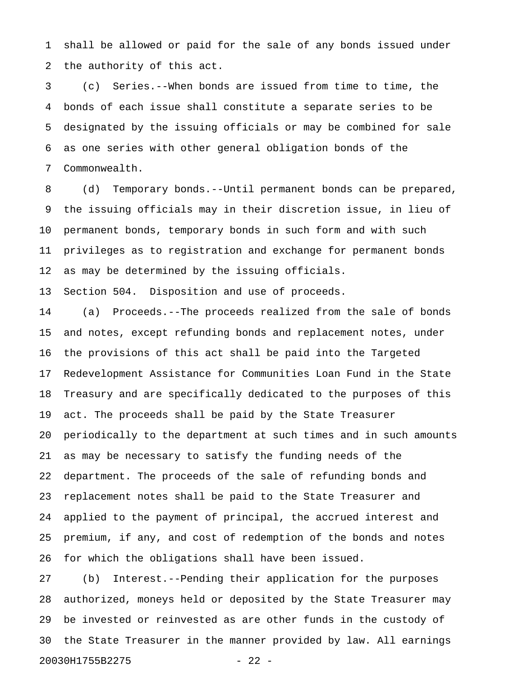1 shall be allowed or paid for the sale of any bonds issued under 2 the authority of this act.

3 (c) Series.--When bonds are issued from time to time, the 4 bonds of each issue shall constitute a separate series to be 5 designated by the issuing officials or may be combined for sale 6 as one series with other general obligation bonds of the 7 Commonwealth.

8 (d) Temporary bonds.--Until permanent bonds can be prepared, 9 the issuing officials may in their discretion issue, in lieu of 10 permanent bonds, temporary bonds in such form and with such 11 privileges as to registration and exchange for permanent bonds 12 as may be determined by the issuing officials.

13 Section 504. Disposition and use of proceeds.

14 (a) Proceeds.--The proceeds realized from the sale of bonds 15 and notes, except refunding bonds and replacement notes, under 16 the provisions of this act shall be paid into the Targeted 17 Redevelopment Assistance for Communities Loan Fund in the State 18 Treasury and are specifically dedicated to the purposes of this 19 act. The proceeds shall be paid by the State Treasurer 20 periodically to the department at such times and in such amounts 21 as may be necessary to satisfy the funding needs of the 22 department. The proceeds of the sale of refunding bonds and 23 replacement notes shall be paid to the State Treasurer and 24 applied to the payment of principal, the accrued interest and 25 premium, if any, and cost of redemption of the bonds and notes 26 for which the obligations shall have been issued.

27 (b) Interest.--Pending their application for the purposes 28 authorized, moneys held or deposited by the State Treasurer may 29 be invested or reinvested as are other funds in the custody of 30 the State Treasurer in the manner provided by law. All earnings 20030H1755B2275 - 22 -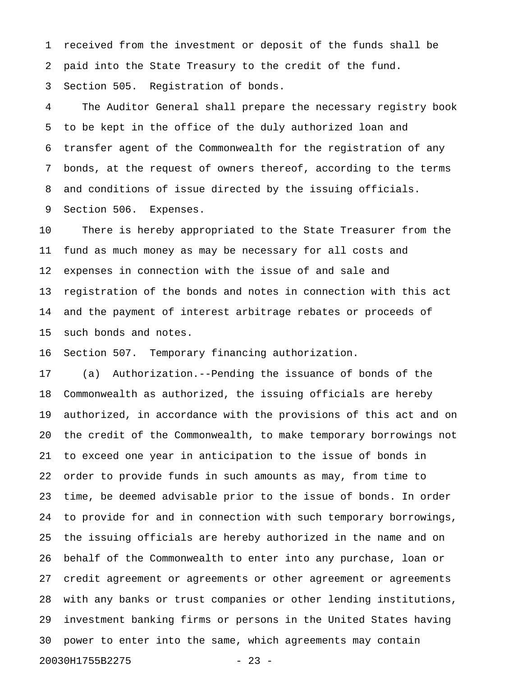1 received from the investment or deposit of the funds shall be 2 paid into the State Treasury to the credit of the fund. 3 Section 505. Registration of bonds.

4 The Auditor General shall prepare the necessary registry book 5 to be kept in the office of the duly authorized loan and 6 transfer agent of the Commonwealth for the registration of any 7 bonds, at the request of owners thereof, according to the terms 8 and conditions of issue directed by the issuing officials. 9 Section 506. Expenses.

10 There is hereby appropriated to the State Treasurer from the 11 fund as much money as may be necessary for all costs and 12 expenses in connection with the issue of and sale and 13 registration of the bonds and notes in connection with this act 14 and the payment of interest arbitrage rebates or proceeds of 15 such bonds and notes.

16 Section 507. Temporary financing authorization.

17 (a) Authorization.--Pending the issuance of bonds of the 18 Commonwealth as authorized, the issuing officials are hereby 19 authorized, in accordance with the provisions of this act and on 20 the credit of the Commonwealth, to make temporary borrowings not 21 to exceed one year in anticipation to the issue of bonds in 22 order to provide funds in such amounts as may, from time to 23 time, be deemed advisable prior to the issue of bonds. In order 24 to provide for and in connection with such temporary borrowings, 25 the issuing officials are hereby authorized in the name and on 26 behalf of the Commonwealth to enter into any purchase, loan or 27 credit agreement or agreements or other agreement or agreements 28 with any banks or trust companies or other lending institutions, 29 investment banking firms or persons in the United States having 30 power to enter into the same, which agreements may contain 20030H1755B2275 - 23 -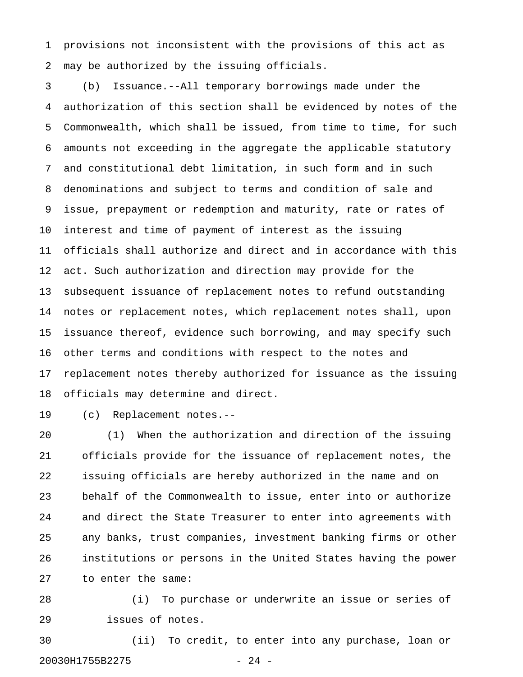1 provisions not inconsistent with the provisions of this act as 2 may be authorized by the issuing officials.

3 (b) Issuance.--All temporary borrowings made under the 4 authorization of this section shall be evidenced by notes of the 5 Commonwealth, which shall be issued, from time to time, for such 6 amounts not exceeding in the aggregate the applicable statutory 7 and constitutional debt limitation, in such form and in such 8 denominations and subject to terms and condition of sale and 9 issue, prepayment or redemption and maturity, rate or rates of 10 interest and time of payment of interest as the issuing 11 officials shall authorize and direct and in accordance with this 12 act. Such authorization and direction may provide for the 13 subsequent issuance of replacement notes to refund outstanding 14 notes or replacement notes, which replacement notes shall, upon 15 issuance thereof, evidence such borrowing, and may specify such 16 other terms and conditions with respect to the notes and 17 replacement notes thereby authorized for issuance as the issuing 18 officials may determine and direct.

19 (c) Replacement notes.--

20 (1) When the authorization and direction of the issuing 21 officials provide for the issuance of replacement notes, the 22 issuing officials are hereby authorized in the name and on 23 behalf of the Commonwealth to issue, enter into or authorize 24 and direct the State Treasurer to enter into agreements with 25 any banks, trust companies, investment banking firms or other 26 institutions or persons in the United States having the power 27 to enter the same:

28 (i) To purchase or underwrite an issue or series of 29 issues of notes.

30 (ii) To credit, to enter into any purchase, loan or 20030H1755B2275 - 24 -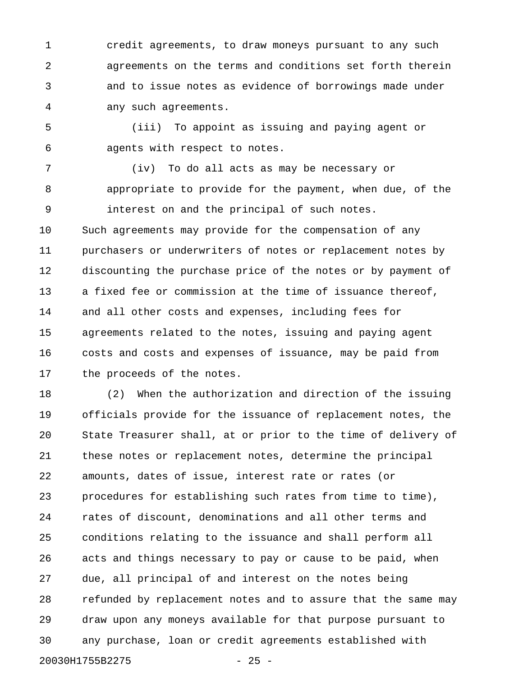1 credit agreements, to draw moneys pursuant to any such 2 agreements on the terms and conditions set forth therein 3 and to issue notes as evidence of borrowings made under 4 any such agreements.

5 (iii) To appoint as issuing and paying agent or 6 agents with respect to notes.

7 (iv) To do all acts as may be necessary or 8 appropriate to provide for the payment, when due, of the 9 interest on and the principal of such notes. 10 Such agreements may provide for the compensation of any 11 purchasers or underwriters of notes or replacement notes by 12 discounting the purchase price of the notes or by payment of 13 a fixed fee or commission at the time of issuance thereof, 14 and all other costs and expenses, including fees for 15 agreements related to the notes, issuing and paying agent 16 costs and costs and expenses of issuance, may be paid from 17 the proceeds of the notes.

18 (2) When the authorization and direction of the issuing 19 officials provide for the issuance of replacement notes, the 20 State Treasurer shall, at or prior to the time of delivery of 21 these notes or replacement notes, determine the principal 22 amounts, dates of issue, interest rate or rates (or 23 procedures for establishing such rates from time to time), 24 rates of discount, denominations and all other terms and 25 conditions relating to the issuance and shall perform all 26 acts and things necessary to pay or cause to be paid, when 27 due, all principal of and interest on the notes being 28 refunded by replacement notes and to assure that the same may 29 draw upon any moneys available for that purpose pursuant to 30 any purchase, loan or credit agreements established with 20030H1755B2275 - 25 -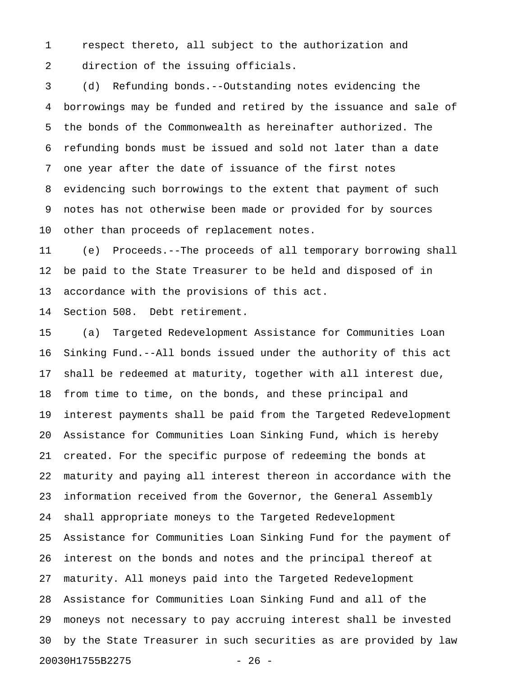1 respect thereto, all subject to the authorization and 2 direction of the issuing officials.

3 (d) Refunding bonds.--Outstanding notes evidencing the 4 borrowings may be funded and retired by the issuance and sale of 5 the bonds of the Commonwealth as hereinafter authorized. The 6 refunding bonds must be issued and sold not later than a date 7 one year after the date of issuance of the first notes 8 evidencing such borrowings to the extent that payment of such 9 notes has not otherwise been made or provided for by sources 10 other than proceeds of replacement notes.

11 (e) Proceeds.--The proceeds of all temporary borrowing shall 12 be paid to the State Treasurer to be held and disposed of in 13 accordance with the provisions of this act.

14 Section 508. Debt retirement.

15 (a) Targeted Redevelopment Assistance for Communities Loan 16 Sinking Fund.--All bonds issued under the authority of this act 17 shall be redeemed at maturity, together with all interest due, 18 from time to time, on the bonds, and these principal and 19 interest payments shall be paid from the Targeted Redevelopment 20 Assistance for Communities Loan Sinking Fund, which is hereby 21 created. For the specific purpose of redeeming the bonds at 22 maturity and paying all interest thereon in accordance with the 23 information received from the Governor, the General Assembly 24 shall appropriate moneys to the Targeted Redevelopment 25 Assistance for Communities Loan Sinking Fund for the payment of 26 interest on the bonds and notes and the principal thereof at 27 maturity. All moneys paid into the Targeted Redevelopment 28 Assistance for Communities Loan Sinking Fund and all of the 29 moneys not necessary to pay accruing interest shall be invested 30 by the State Treasurer in such securities as are provided by law 20030H1755B2275 - 26 -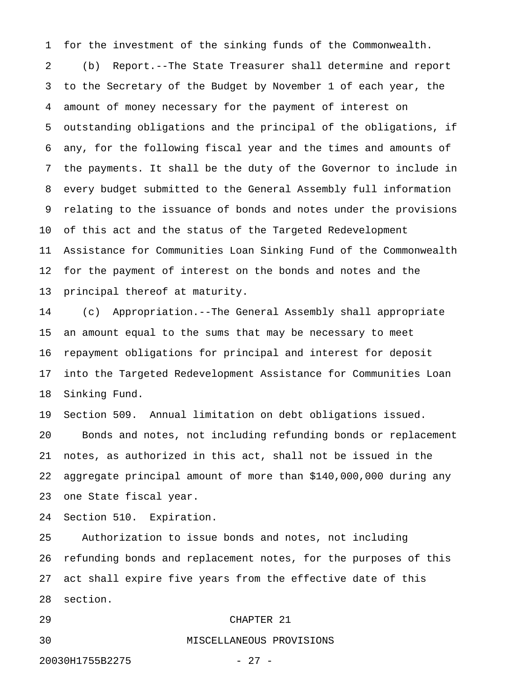1 for the investment of the sinking funds of the Commonwealth. 2 (b) Report.--The State Treasurer shall determine and report 3 to the Secretary of the Budget by November 1 of each year, the 4 amount of money necessary for the payment of interest on 5 outstanding obligations and the principal of the obligations, if 6 any, for the following fiscal year and the times and amounts of 7 the payments. It shall be the duty of the Governor to include in 8 every budget submitted to the General Assembly full information 9 relating to the issuance of bonds and notes under the provisions 10 of this act and the status of the Targeted Redevelopment 11 Assistance for Communities Loan Sinking Fund of the Commonwealth 12 for the payment of interest on the bonds and notes and the 13 principal thereof at maturity.

14 (c) Appropriation.--The General Assembly shall appropriate 15 an amount equal to the sums that may be necessary to meet 16 repayment obligations for principal and interest for deposit 17 into the Targeted Redevelopment Assistance for Communities Loan 18 Sinking Fund.

19 Section 509. Annual limitation on debt obligations issued. 20 Bonds and notes, not including refunding bonds or replacement 21 notes, as authorized in this act, shall not be issued in the 22 aggregate principal amount of more than \$140,000,000 during any 23 one State fiscal year.

24 Section 510. Expiration.

25 Authorization to issue bonds and notes, not including 26 refunding bonds and replacement notes, for the purposes of this 27 act shall expire five years from the effective date of this 28 section.

## 29 CHAPTER 21

30 MISCELLANEOUS PROVISIONS

## 20030H1755B2275 - 27 -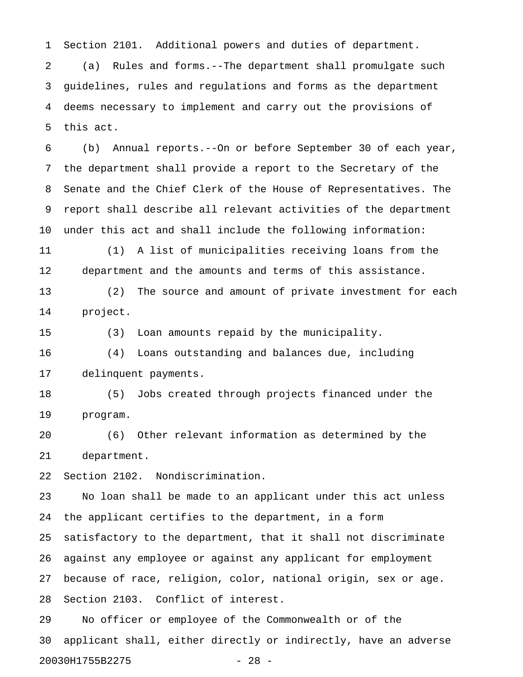1 Section 2101. Additional powers and duties of department.

2 (a) Rules and forms.--The department shall promulgate such 3 guidelines, rules and regulations and forms as the department 4 deems necessary to implement and carry out the provisions of 5 this act.

6 (b) Annual reports.--On or before September 30 of each year, 7 the department shall provide a report to the Secretary of the 8 Senate and the Chief Clerk of the House of Representatives. The 9 report shall describe all relevant activities of the department 10 under this act and shall include the following information:

11 (1) A list of municipalities receiving loans from the 12 department and the amounts and terms of this assistance.

13 (2) The source and amount of private investment for each 14 project.

15 (3) Loan amounts repaid by the municipality.

16 (4) Loans outstanding and balances due, including 17 delinquent payments.

18 (5) Jobs created through projects financed under the 19 program.

20 (6) Other relevant information as determined by the 21 department.

22 Section 2102. Nondiscrimination.

23 No loan shall be made to an applicant under this act unless 24 the applicant certifies to the department, in a form 25 satisfactory to the department, that it shall not discriminate 26 against any employee or against any applicant for employment 27 because of race, religion, color, national origin, sex or age. 28 Section 2103. Conflict of interest.

29 No officer or employee of the Commonwealth or of the 30 applicant shall, either directly or indirectly, have an adverse 20030H1755B2275 - 28 -